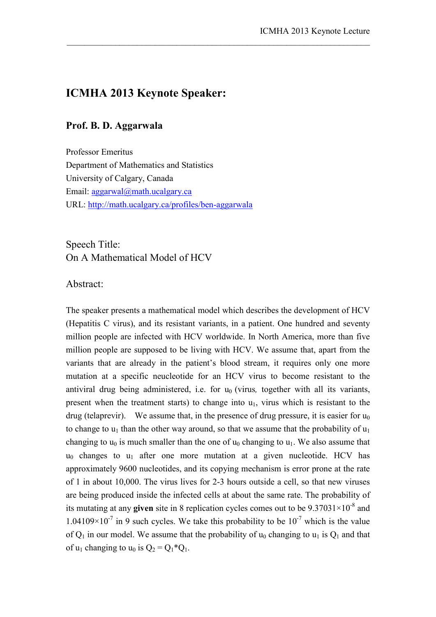## **ICMHA 2013 Keynote Speaker:**

## **Prof. B. D. Aggarwala**

Professor Emeritus Department of Mathematics and Statistics University of Calgary, Canada Email: aggarwal@math.ucalgary.ca URL: http://math.ucalgary.ca/profiles/ben-aggarwala

Speech Title: On A Mathematical Model of HCV

## Abstract:

The speaker presents a mathematical model which describes the development of HCV (Hepatitis C virus), and its resistant variants, in a patient. One hundred and seventy million people are infected with HCV worldwide. In North America, more than five million people are supposed to be living with HCV. We assume that, apart from the variants that are already in the patient's blood stream, it requires only one more mutation at a specific neucleotide for an HCV virus to become resistant to the antiviral drug being administered, i.e. for u<sub>0</sub> (virus, together with all its variants, present when the treatment starts) to change into  $u_1$ , virus which is resistant to the drug (telaprevir). We assume that, in the presence of drug pressure, it is easier for  $u_0$ to change to  $u_1$  than the other way around, so that we assume that the probability of  $u_1$ changing to  $u_0$  is much smaller than the one of  $u_0$  changing to  $u_1$ . We also assume that  $u_0$  changes to  $u_1$  after one more mutation at a given nucleotide. HCV has approximately 9600 nucleotides, and its copying mechanism is error prone at the rate of 1 in about 10,000. The virus lives for 2-3 hours outside a cell, so that new viruses are being produced inside the infected cells at about the same rate. The probability of its mutating at any **given** site in 8 replication cycles comes out to be  $9.37031 \times 10^{-8}$  and  $1.04109 \times 10^{-7}$  in 9 such cycles. We take this probability to be  $10^{-7}$  which is the value of  $Q_1$  in our model. We assume that the probability of  $u_0$  changing to  $u_1$  is  $Q_1$  and that of  $u_1$  changing to  $u_0$  is  $Q_2 = Q_1 * Q_1$ .

 $\_$  , and the set of the set of the set of the set of the set of the set of the set of the set of the set of the set of the set of the set of the set of the set of the set of the set of the set of the set of the set of th